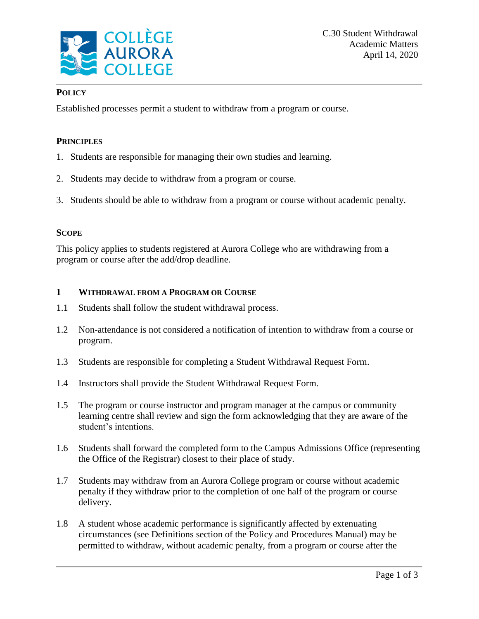

## **POLICY**

Established processes permit a student to withdraw from a program or course.

## **PRINCIPLES**

- 1. Students are responsible for managing their own studies and learning.
- 2. Students may decide to withdraw from a program or course.
- 3. Students should be able to withdraw from a program or course without academic penalty.

#### **SCOPE**

This policy applies to students registered at Aurora College who are withdrawing from a program or course after the add/drop deadline.

## **1 WITHDRAWAL FROM A PROGRAM OR COURSE**

- 1.1 Students shall follow the student withdrawal process.
- 1.2 Non-attendance is not considered a notification of intention to withdraw from a course or program.
- 1.3 Students are responsible for completing a Student Withdrawal Request Form.
- 1.4 Instructors shall provide the Student Withdrawal Request Form.
- 1.5 The program or course instructor and program manager at the campus or community learning centre shall review and sign the form acknowledging that they are aware of the student's intentions.
- 1.6 Students shall forward the completed form to the Campus Admissions Office (representing the Office of the Registrar) closest to their place of study.
- 1.7 Students may withdraw from an Aurora College program or course without academic penalty if they withdraw prior to the completion of one half of the program or course delivery.
- 1.8 A student whose academic performance is significantly affected by extenuating circumstances (see Definitions section of the Policy and Procedures Manual) may be permitted to withdraw, without academic penalty, from a program or course after the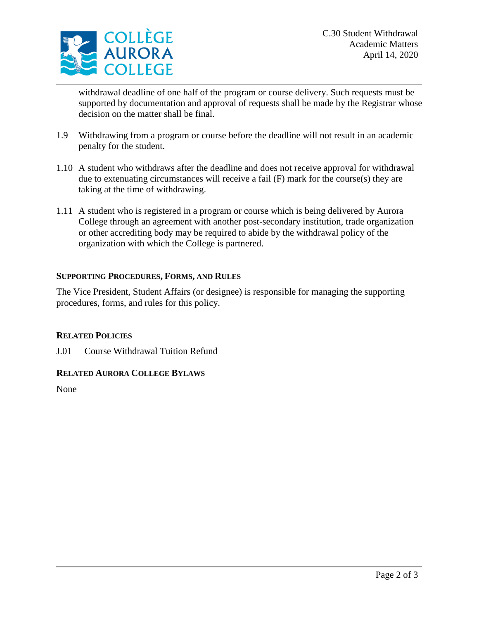

withdrawal deadline of one half of the program or course delivery. Such requests must be supported by documentation and approval of requests shall be made by the Registrar whose decision on the matter shall be final.

- 1.9 Withdrawing from a program or course before the deadline will not result in an academic penalty for the student.
- 1.10 A student who withdraws after the deadline and does not receive approval for withdrawal due to extenuating circumstances will receive a fail (F) mark for the course(s) they are taking at the time of withdrawing.
- 1.11 A student who is registered in a program or course which is being delivered by Aurora College through an agreement with another post-secondary institution, trade organization or other accrediting body may be required to abide by the withdrawal policy of the organization with which the College is partnered.

## **SUPPORTING PROCEDURES, FORMS, AND RULES**

The Vice President, Student Affairs (or designee) is responsible for managing the supporting procedures, forms, and rules for this policy.

#### **RELATED POLICIES**

J.01 Course Withdrawal Tuition Refund

#### **RELATED AURORA COLLEGE BYLAWS**

None